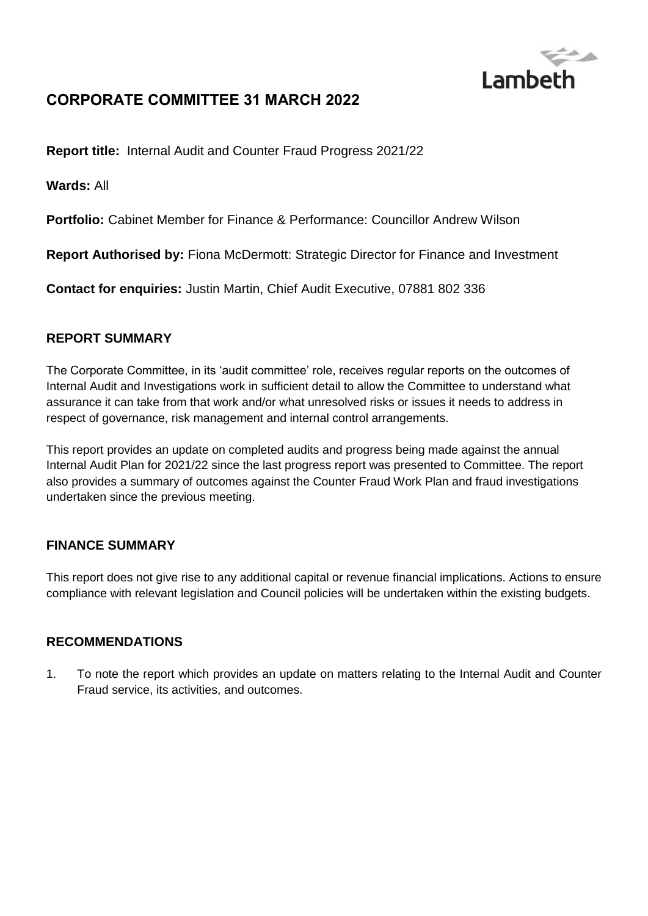

# **CORPORATE COMMITTEE 31 MARCH 2022**

**Report title:** Internal Audit and Counter Fraud Progress 2021/22

**Wards:** All

**Portfolio:** Cabinet Member for Finance & Performance: Councillor Andrew Wilson

**Report Authorised by:** Fiona McDermott: Strategic Director for Finance and Investment

**Contact for enquiries:** Justin Martin, Chief Audit Executive, 07881 802 336

### **REPORT SUMMARY**

The Corporate Committee, in its 'audit committee' role, receives regular reports on the outcomes of Internal Audit and Investigations work in sufficient detail to allow the Committee to understand what assurance it can take from that work and/or what unresolved risks or issues it needs to address in respect of governance, risk management and internal control arrangements.

This report provides an update on completed audits and progress being made against the annual Internal Audit Plan for 2021/22 since the last progress report was presented to Committee. The report also provides a summary of outcomes against the Counter Fraud Work Plan and fraud investigations undertaken since the previous meeting.

### **FINANCE SUMMARY**

This report does not give rise to any additional capital or revenue financial implications. Actions to ensure compliance with relevant legislation and Council policies will be undertaken within the existing budgets.

### **RECOMMENDATIONS**

1. To note the report which provides an update on matters relating to the Internal Audit and Counter Fraud service, its activities, and outcomes.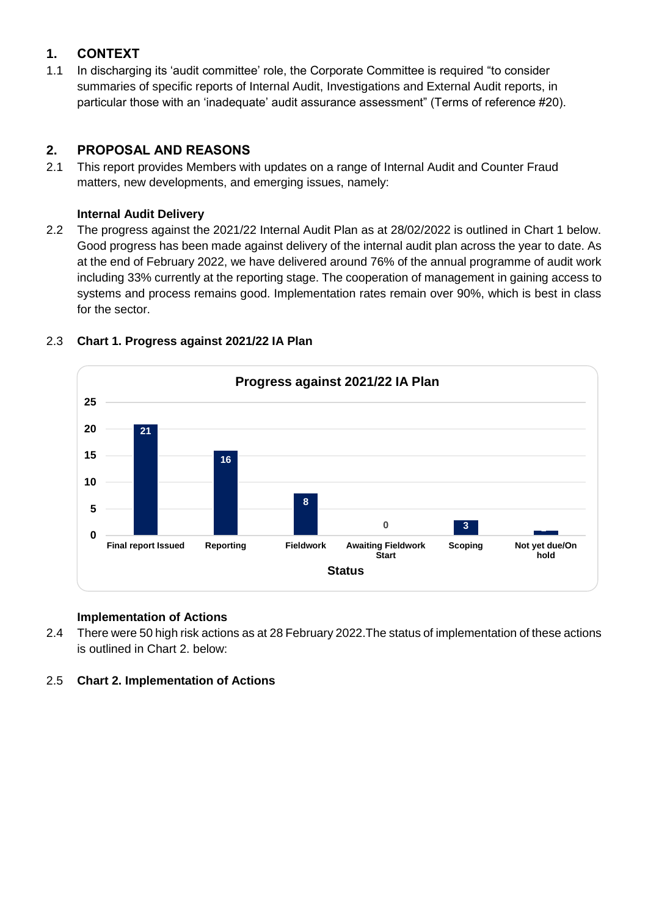### **1. CONTEXT**

1.1 In discharging its 'audit committee' role, the Corporate Committee is required "to consider summaries of specific reports of Internal Audit, Investigations and External Audit reports, in particular those with an 'inadequate' audit assurance assessment" (Terms of reference #20).

### **2. PROPOSAL AND REASONS**

2.1 This report provides Members with updates on a range of Internal Audit and Counter Fraud matters, new developments, and emerging issues, namely:

#### **Internal Audit Delivery**

2.2 The progress against the 2021/22 Internal Audit Plan as at 28/02/2022 is outlined in Chart 1 below. Good progress has been made against delivery of the internal audit plan across the year to date. As at the end of February 2022, we have delivered around 76% of the annual programme of audit work including 33% currently at the reporting stage. The cooperation of management in gaining access to systems and process remains good. Implementation rates remain over 90%, which is best in class for the sector.



### 2.3 **Chart 1. Progress against 2021/22 IA Plan**

### **Implementation of Actions**

- 2.4 There were 50 high risk actions as at 28 February 2022.The status of implementation of these actions is outlined in Chart 2. below:
- 2.5 **Chart 2. Implementation of Actions**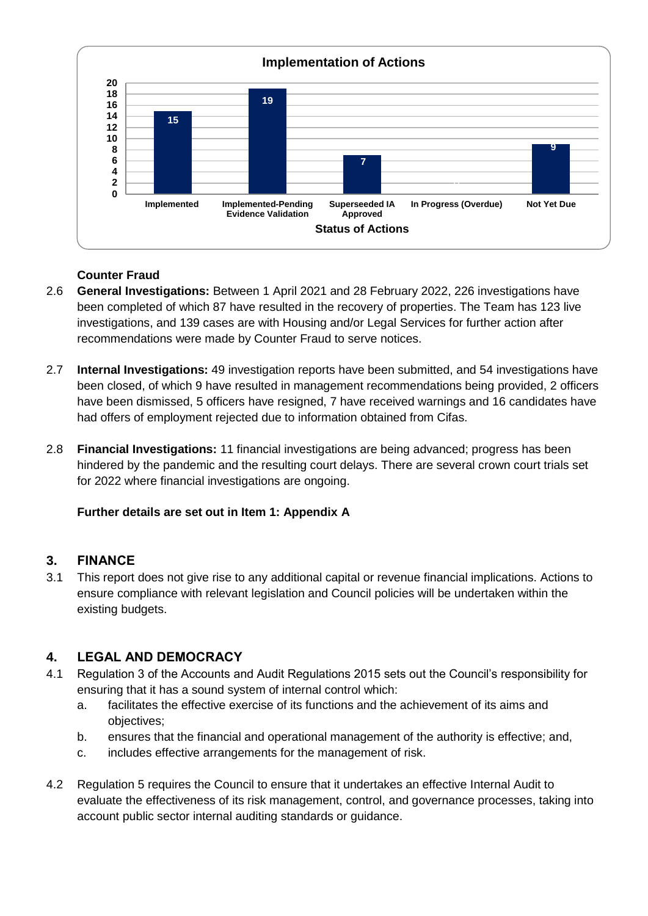

### **Counter Fraud**

- 2.6 **General Investigations:** Between 1 April 2021 and 28 February 2022, 226 investigations have been completed of which 87 have resulted in the recovery of properties. The Team has 123 live investigations, and 139 cases are with Housing and/or Legal Services for further action after recommendations were made by Counter Fraud to serve notices.
- 2.7 **Internal Investigations:** 49 investigation reports have been submitted, and 54 investigations have been closed, of which 9 have resulted in management recommendations being provided, 2 officers have been dismissed, 5 officers have resigned, 7 have received warnings and 16 candidates have had offers of employment rejected due to information obtained from Cifas.
- 2.8 **Financial Investigations:** 11 financial investigations are being advanced; progress has been hindered by the pandemic and the resulting court delays. There are several crown court trials set for 2022 where financial investigations are ongoing.

### **Further details are set out in Item 1: Appendix A**

### **3. FINANCE**

3.1 This report does not give rise to any additional capital or revenue financial implications. Actions to ensure compliance with relevant legislation and Council policies will be undertaken within the existing budgets.

### **4. LEGAL AND DEMOCRACY**

- 4.1 Regulation 3 of the Accounts and Audit Regulations 2015 sets out the Council's responsibility for ensuring that it has a sound system of internal control which:
	- a. facilitates the effective exercise of its functions and the achievement of its aims and objectives;
	- b. ensures that the financial and operational management of the authority is effective; and,
	- c. includes effective arrangements for the management of risk.
- 4.2 Regulation 5 requires the Council to ensure that it undertakes an effective Internal Audit to evaluate the effectiveness of its risk management, control, and governance processes, taking into account public sector internal auditing standards or guidance.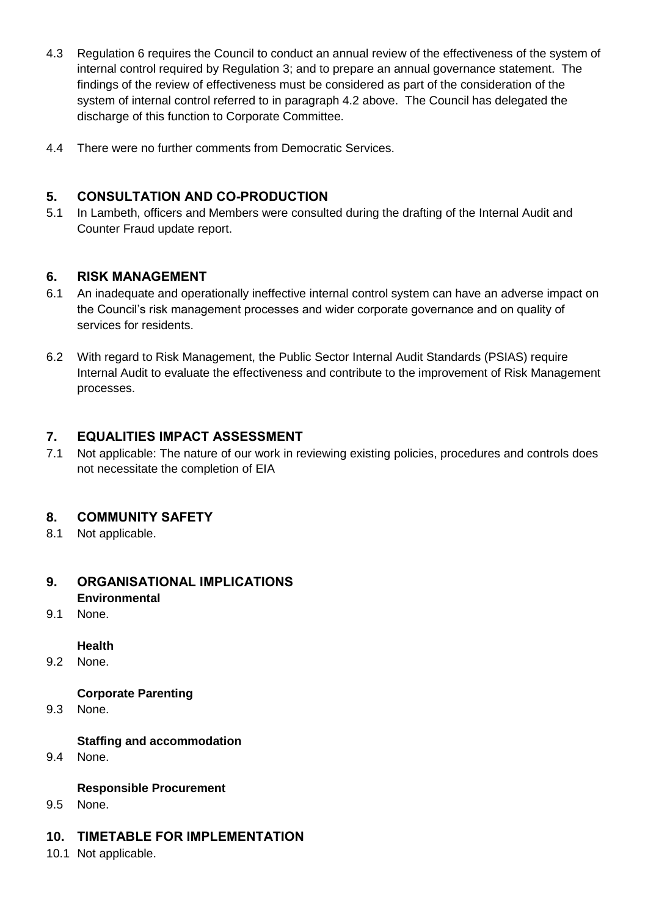- 4.3 Regulation 6 requires the Council to conduct an annual review of the effectiveness of the system of internal control required by Regulation 3; and to prepare an annual governance statement. The findings of the review of effectiveness must be considered as part of the consideration of the system of internal control referred to in paragraph 4.2 above. The Council has delegated the discharge of this function to Corporate Committee.
- 4.4 There were no further comments from Democratic Services.

### **5. CONSULTATION AND CO-PRODUCTION**

5.1 In Lambeth, officers and Members were consulted during the drafting of the Internal Audit and Counter Fraud update report.

### **6. RISK MANAGEMENT**

- 6.1 An inadequate and operationally ineffective internal control system can have an adverse impact on the Council's risk management processes and wider corporate governance and on quality of services for residents.
- 6.2 With regard to Risk Management, the Public Sector Internal Audit Standards (PSIAS) require Internal Audit to evaluate the effectiveness and contribute to the improvement of Risk Management processes.

## **7. EQUALITIES IMPACT ASSESSMENT**

7.1 Not applicable: The nature of our work in reviewing existing policies, procedures and controls does not necessitate the completion of EIA

### **8. COMMUNITY SAFETY**

8.1 Not applicable.

# **9. ORGANISATIONAL IMPLICATIONS Environmental**

9.1 None.

### **Health**

9.2 None.

### **Corporate Parenting**

9.3 None.

### **Staffing and accommodation**

9.4 None.

### **Responsible Procurement**

9.5 None.

### **10. TIMETABLE FOR IMPLEMENTATION**

10.1 Not applicable.